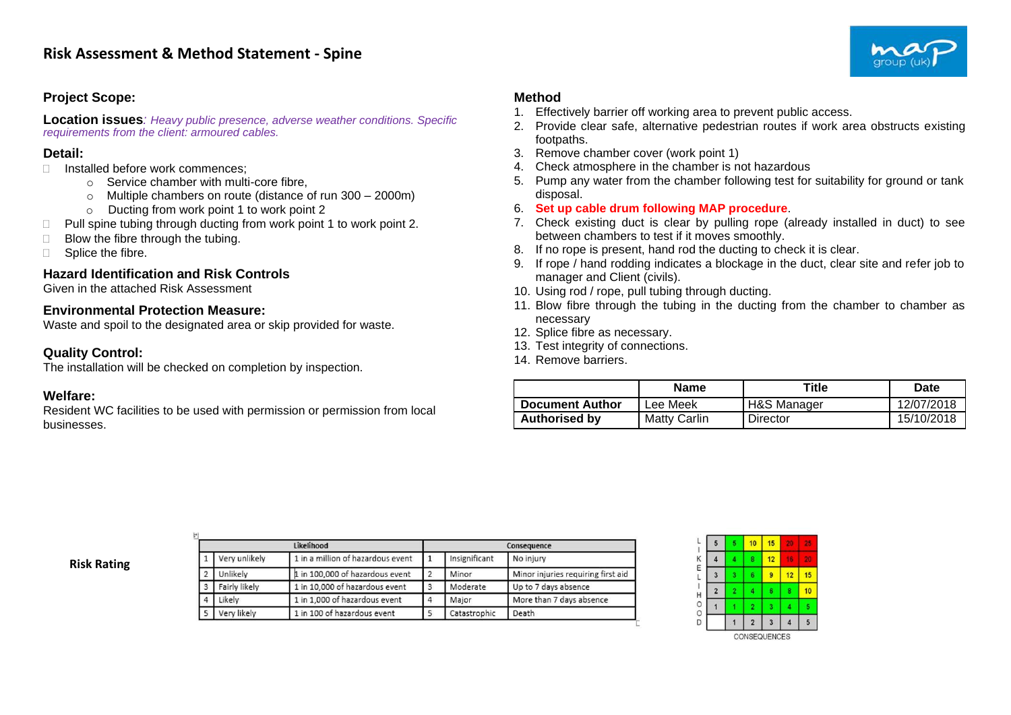## **Project Scope:**

**Location issues***: Heavy public presence, adverse weather conditions. Specific requirements from the client: armoured cables.*

### **Detail:**

- $\Box$  Installed before work commences;
	- o Service chamber with multi-core fibre,
	- o Multiple chambers on route (distance of run 300 2000m)
	- o Ducting from work point 1 to work point 2
- $\Box$  Pull spine tubing through ducting from work point 1 to work point 2.
- $\Box$  Blow the fibre through the tubing.
- $\Box$  Splice the fibre.

# **Hazard Identification and Risk Controls**

Given in the attached Risk Assessment

### **Environmental Protection Measure:**

Waste and spoil to the designated area or skip provided for waste.

# **Quality Control:**

The installation will be checked on completion by inspection.

#### **Welfare:**

Resident WC facilities to be used with permission or permission from local businesses.

### **Method**

- 1. Effectively barrier off working area to prevent public access.
- 2. Provide clear safe, alternative pedestrian routes if work area obstructs existing footpaths.
- 3. Remove chamber cover (work point 1)
- 4. Check atmosphere in the chamber is not hazardous
- 5. Pump any water from the chamber following test for suitability for ground or tank disposal.
- 6. **Set up cable drum following MAP procedure**.
- 7. Check existing duct is clear by pulling rope (already installed in duct) to see between chambers to test if it moves smoothly.
- 8. If no rope is present, hand rod the ducting to check it is clear.
- 9. If rope / hand rodding indicates a blockage in the duct, clear site and refer job to manager and Client (civils).
- 10. Using rod / rope, pull tubing through ducting.
- 11. Blow fibre through the tubing in the ducting from the chamber to chamber as necessary
- 12. Splice fibre as necessary.
- 13. Test integrity of connections.
- 14. Remove barriers.

|                        | Name                | Title       | Date       |
|------------------------|---------------------|-------------|------------|
| <b>Document Author</b> | Lee Meek            | H&S Manager | 12/07/2018 |
| <b>Authorised by</b>   | <b>Matty Carlin</b> | Director    | 15/10/2018 |

|  | <b>Risk Rating</b> |
|--|--------------------|
|--|--------------------|

|   |               | Likelihood                        |   |               | Consequence                        |
|---|---------------|-----------------------------------|---|---------------|------------------------------------|
|   | Very unlikely | 1 in a million of hazardous event |   | Insignificant | No injury                          |
|   | Unlikely      | 1 in 100,000 of hazardous event   |   | Minor         | Minor injuries requiring first aid |
| 3 | Fairly likely | 1 in 10,000 of hazardous event    | 3 | Moderate      | Up to 7 days absence               |
| Δ | Likely        | 1 in 1,000 of hazardous event     |   | Major         | More than 7 days absence           |
| 5 | Very likely   | 1 in 100 of hazardous event       |   | Catastrophic  | Death                              |



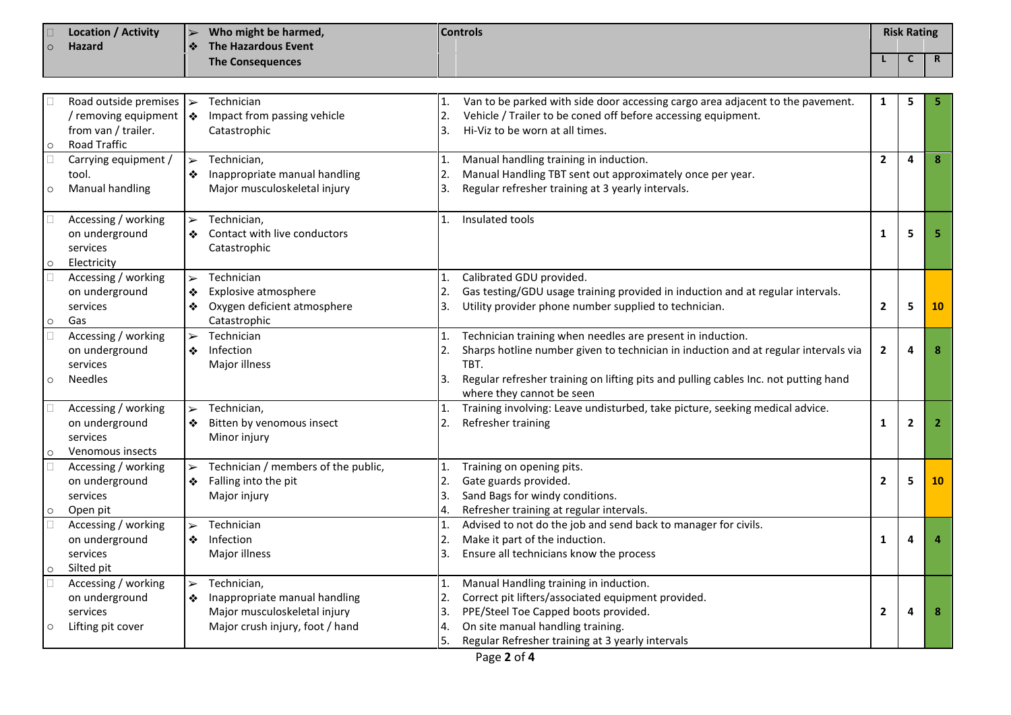| $\circ$ | <b>Location / Activity</b><br><b>Hazard</b>                                                           |                                 | Who might be harmed,<br>The Hazardous Event                                                                     |                            | <b>Controls</b>                                                                                                                                                                                                                                                               |                | <b>Risk Rating</b> |                |
|---------|-------------------------------------------------------------------------------------------------------|---------------------------------|-----------------------------------------------------------------------------------------------------------------|----------------------------|-------------------------------------------------------------------------------------------------------------------------------------------------------------------------------------------------------------------------------------------------------------------------------|----------------|--------------------|----------------|
|         |                                                                                                       |                                 | <b>The Consequences</b>                                                                                         |                            |                                                                                                                                                                                                                                                                               |                | $\mathsf{C}$       | R              |
|         |                                                                                                       |                                 |                                                                                                                 |                            |                                                                                                                                                                                                                                                                               |                |                    |                |
| $\circ$ | Road outside premises $\triangleright$<br>/ removing equipment<br>from van / trailer.<br>Road Traffic | l ❖                             | Technician<br>Impact from passing vehicle<br>Catastrophic                                                       | 2.<br>3.                   | Van to be parked with side door accessing cargo area adjacent to the pavement.<br>Vehicle / Trailer to be coned off before accessing equipment.<br>Hi-Viz to be worn at all times.                                                                                            | 1              | 5                  |                |
| $\circ$ | Carrying equipment /<br>tool.<br>Manual handling                                                      | $\blacktriangleright$           | Technician,<br>Inappropriate manual handling<br>Major musculoskeletal injury                                    | 1.<br>2.<br>3.             | Manual handling training in induction.<br>Manual Handling TBT sent out approximately once per year.<br>Regular refresher training at 3 yearly intervals.                                                                                                                      | $\mathbf{2}$   | $\overline{a}$     | 8              |
| $\circ$ | Accessing / working<br>on underground<br>services<br>Electricity                                      | $\blacktriangleright$<br>❖      | Technician,<br>Contact with live conductors<br>Catastrophic                                                     | 1.                         | Insulated tools                                                                                                                                                                                                                                                               | $\mathbf{1}$   | 5                  |                |
| $\circ$ | Accessing / working<br>on underground<br>services<br>Gas                                              | $\blacktriangleright$<br>❖<br>❖ | Technician<br>Explosive atmosphere<br>Oxygen deficient atmosphere<br>Catastrophic                               | 1.<br>2.<br>3.             | Calibrated GDU provided.<br>Gas testing/GDU usage training provided in induction and at regular intervals.<br>Utility provider phone number supplied to technician.                                                                                                           | $\overline{2}$ | 5                  | 10             |
| $\circ$ | Accessing / working<br>on underground<br>services<br><b>Needles</b>                                   | $\blacktriangleright$<br>❖      | Technician<br>Infection<br>Major illness                                                                        | 1.<br>2.<br>3.             | Technician training when needles are present in induction.<br>Sharps hotline number given to technician in induction and at regular intervals via<br>TBT.<br>Regular refresher training on lifting pits and pulling cables Inc. not putting hand<br>where they cannot be seen | $\overline{2}$ | $\overline{a}$     |                |
| $\circ$ | Accessing / working<br>on underground<br>services<br>Venomous insects                                 | $\blacktriangleright$<br>❖      | Technician,<br>Bitten by venomous insect<br>Minor injury                                                        | 1.<br>2.                   | Training involving: Leave undisturbed, take picture, seeking medical advice.<br>Refresher training                                                                                                                                                                            | $\mathbf{1}$   | $\overline{2}$     | $\overline{2}$ |
| $\circ$ | Accessing / working<br>on underground<br>services<br>Open pit                                         | $\blacktriangleright$<br>❖      | Technician / members of the public,<br>Falling into the pit<br>Major injury                                     | 1.<br>2.<br>3.<br>4.       | Training on opening pits.<br>Gate guards provided.<br>Sand Bags for windy conditions.<br>Refresher training at regular intervals.                                                                                                                                             | $\mathbf{2}$   | 5                  | 10             |
| $\circ$ | Accessing / working<br>on underground<br>services<br>Silted pit                                       | $\blacktriangleright$<br>❖      | Technician<br>Infection<br>Major illness                                                                        | 1.<br>2.<br>3.             | Advised to not do the job and send back to manager for civils.<br>Make it part of the induction.<br>Ensure all technicians know the process                                                                                                                                   | $\mathbf 1$    | 4                  |                |
| $\circ$ | Accessing / working<br>on underground<br>services<br>Lifting pit cover                                | $\blacktriangleright$<br>❖      | Technician,<br>Inappropriate manual handling<br>Major musculoskeletal injury<br>Major crush injury, foot / hand | 1.<br>2.<br>3.<br>4.<br>5. | Manual Handling training in induction.<br>Correct pit lifters/associated equipment provided.<br>PPE/Steel Toe Capped boots provided.<br>On site manual handling training.<br>Regular Refresher training at 3 yearly intervals                                                 | $\overline{2}$ | 4                  |                |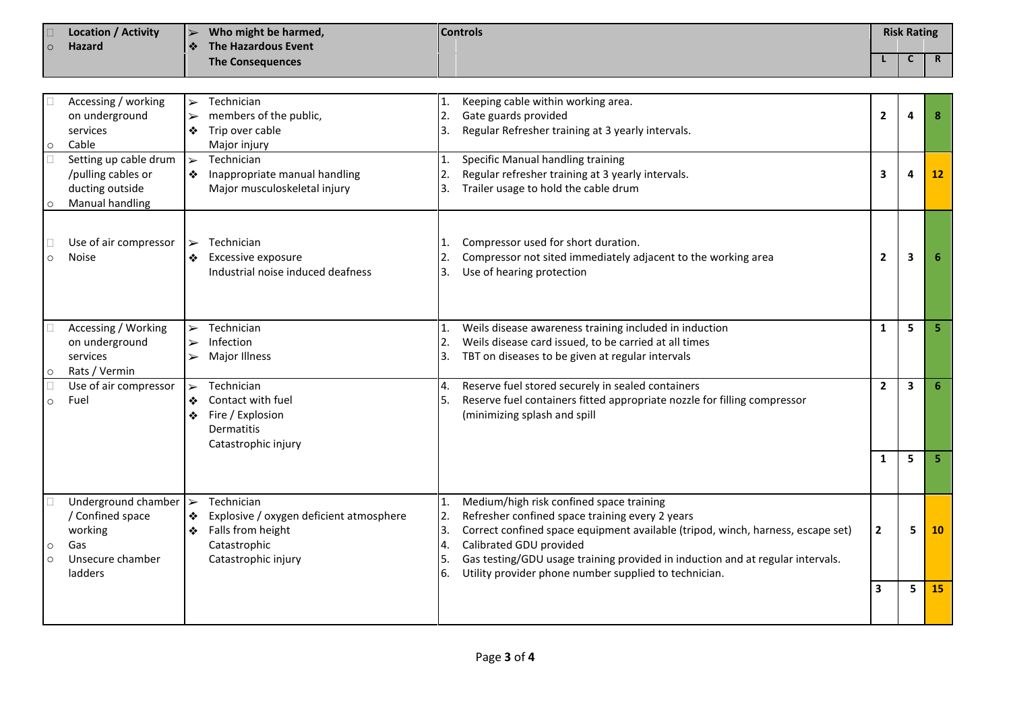| $\Omega$           | <b>Location / Activity</b><br><b>Hazard</b>                                              | Who might be harmed,<br>$\blacktriangleright$<br>The Hazardous Event<br>❖    |                                                                                                                   | <b>Controls</b>                              |                                                                                                                                                                                                                                                                                                                                                      |                         | <b>Risk Rating</b>      |                 |  |
|--------------------|------------------------------------------------------------------------------------------|------------------------------------------------------------------------------|-------------------------------------------------------------------------------------------------------------------|----------------------------------------------|------------------------------------------------------------------------------------------------------------------------------------------------------------------------------------------------------------------------------------------------------------------------------------------------------------------------------------------------------|-------------------------|-------------------------|-----------------|--|
|                    |                                                                                          |                                                                              | <b>The Consequences</b>                                                                                           |                                              |                                                                                                                                                                                                                                                                                                                                                      |                         | C                       | $\mathbf R$     |  |
|                    |                                                                                          |                                                                              |                                                                                                                   |                                              |                                                                                                                                                                                                                                                                                                                                                      |                         |                         |                 |  |
| $\circ$            | Accessing / working<br>on underground<br>services<br>Cable<br>Setting up cable drum      | $\blacktriangleright$<br>$\blacktriangleright$<br>❖<br>$\blacktriangleright$ | Technician<br>members of the public,<br>Trip over cable<br>Major injury<br>Technician                             | $\mathbf{1}$ .<br>2.<br>3.<br>$\mathbf{1}$ . | Keeping cable within working area.<br>Gate guards provided<br>Regular Refresher training at 3 yearly intervals.<br>Specific Manual handling training                                                                                                                                                                                                 | $\mathbf{2}$            | 4                       | 8               |  |
| $\circ$            | /pulling cables or<br>ducting outside<br>Manual handling                                 | ❖                                                                            | Inappropriate manual handling<br>Major musculoskeletal injury                                                     | 2.<br>l3.                                    | Regular refresher training at 3 yearly intervals.<br>Trailer usage to hold the cable drum                                                                                                                                                                                                                                                            | 3                       | 4                       | 12 <sup>°</sup> |  |
| $\circ$            | Use of air compressor<br><b>Noise</b>                                                    | $\blacktriangleright$                                                        | Technician<br>Excessive exposure<br>Industrial noise induced deafness                                             | 1.<br>2.<br>l3.                              | Compressor used for short duration.<br>Compressor not sited immediately adjacent to the working area<br>Use of hearing protection                                                                                                                                                                                                                    | $\overline{2}$          | 3                       | 6               |  |
| $\circ$            | Accessing / Working<br>on underground<br>services<br>Rats / Vermin                       | $\blacktriangleright$<br>$\blacktriangleright$<br>$\blacktriangleright$      | Technician<br>Infection<br>Major Illness                                                                          | 1.<br>2.<br>3.                               | Weils disease awareness training included in induction<br>Weils disease card issued, to be carried at all times<br>TBT on diseases to be given at regular intervals                                                                                                                                                                                  | $\mathbf{1}$            | 5                       | 5               |  |
| $\circ$            | Use of air compressor<br>Fuel                                                            | $\blacktriangleright$<br>❖<br>❖                                              | Technician<br>Contact with fuel<br>Fire / Explosion<br><b>Dermatitis</b><br>Catastrophic injury                   | 4.<br>l5.                                    | Reserve fuel stored securely in sealed containers<br>Reserve fuel containers fitted appropriate nozzle for filling compressor<br>(minimizing splash and spill                                                                                                                                                                                        | $\mathbf{2}$            | $\overline{\mathbf{3}}$ | 6               |  |
|                    |                                                                                          |                                                                              |                                                                                                                   |                                              |                                                                                                                                                                                                                                                                                                                                                      | 1                       | 5                       | 5               |  |
| $\circ$<br>$\circ$ | Underground chamber<br>/ Confined space<br>working<br>Gas<br>Unsecure chamber<br>ladders | ∣≻<br>❖<br>❖                                                                 | Technician<br>Explosive / oxygen deficient atmosphere<br>Falls from height<br>Catastrophic<br>Catastrophic injury | 1.<br>2.<br>ΙЗ.<br>4.<br>5.<br>6.            | Medium/high risk confined space training<br>Refresher confined space training every 2 years<br>Correct confined space equipment available (tripod, winch, harness, escape set)<br>Calibrated GDU provided<br>Gas testing/GDU usage training provided in induction and at regular intervals.<br>Utility provider phone number supplied to technician. | $\overline{2}$          | 5                       | 10              |  |
|                    |                                                                                          |                                                                              |                                                                                                                   |                                              |                                                                                                                                                                                                                                                                                                                                                      | $\overline{\mathbf{3}}$ | 5                       | 15              |  |